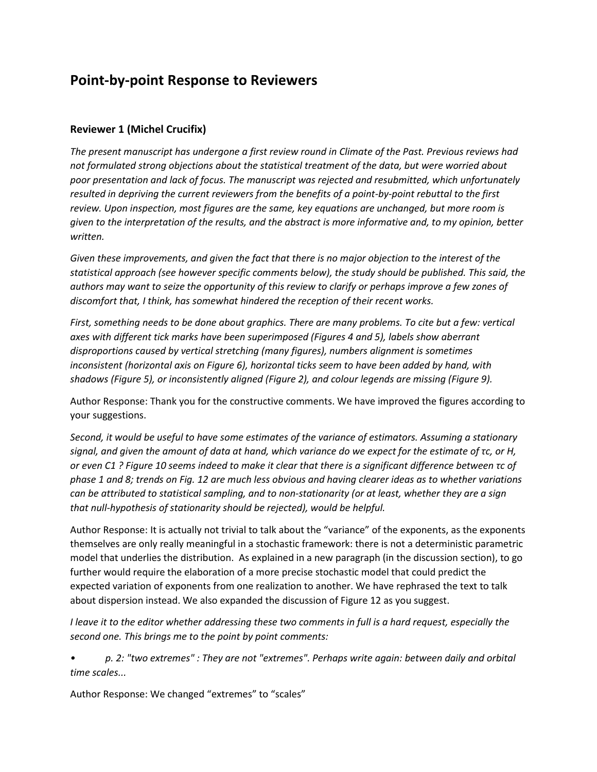## **Point-by-point Response to Reviewers**

## **Reviewer 1 (Michel Crucifix)**

*The present manuscript has undergone a first review round in Climate of the Past. Previous reviews had not formulated strong objections about the statistical treatment of the data, but were worried about poor presentation and lack of focus. The manuscript was rejected and resubmitted, which unfortunately resulted in depriving the current reviewers from the benefits of a point-by-point rebuttal to the first review. Upon inspection, most figures are the same, key equations are unchanged, but more room is given to the interpretation of the results, and the abstract is more informative and, to my opinion, better written.*

Given these improvements, and given the fact that there is no major objection to the interest of the *statistical approach (see however specific comments below), the study should be published. This said, the authors may want to seize the opportunity of this review to clarify or perhaps improve a few zones of discomfort that, I think, has somewhat hindered the reception of their recent works.*

*First, something needs to be done about graphics. There are many problems. To cite but a few: vertical axes with different tick marks have been superimposed (Figures 4 and 5), labels show aberrant disproportions caused by vertical stretching (many figures), numbers alignment is sometimes inconsistent (horizontal axis on Figure 6), horizontal ticks seem to have been added by hand, with shadows (Figure 5), or inconsistently aligned (Figure 2), and colour legends are missing (Figure 9).*

Author Response: Thank you for the constructive comments. We have improved the figures according to your suggestions.

*Second, it would be useful to have some estimates of the variance of estimators. Assuming a stationary signal, and given the amount of data at hand, which variance do we expect for the estimate of τc, or H, or even C1 ? Figure 10 seems indeed to make it clear that there is a significant difference between τc of phase 1 and 8; trends on Fig. 12 are much less obvious and having clearer ideas as to whether variations can be attributed to statistical sampling, and to non-stationarity (or at least, whether they are a sign that null-hypothesis of stationarity should be rejected), would be helpful.*

Author Response: It is actually not trivial to talk about the "variance" of the exponents, as the exponents themselves are only really meaningful in a stochastic framework: there is not a deterministic parametric model that underlies the distribution. As explained in a new paragraph (in the discussion section), to go further would require the elaboration of a more precise stochastic model that could predict the expected variation of exponents from one realization to another. We have rephrased the text to talk about dispersion instead. We also expanded the discussion of Figure 12 as you suggest.

*I leave it to the editor whether addressing these two comments in full is a hard request, especially the second one. This brings me to the point by point comments:*

*• p. 2: "two extremes" : They are not "extremes". Perhaps write again: between daily and orbital time scales...* 

Author Response: We changed "extremes" to "scales"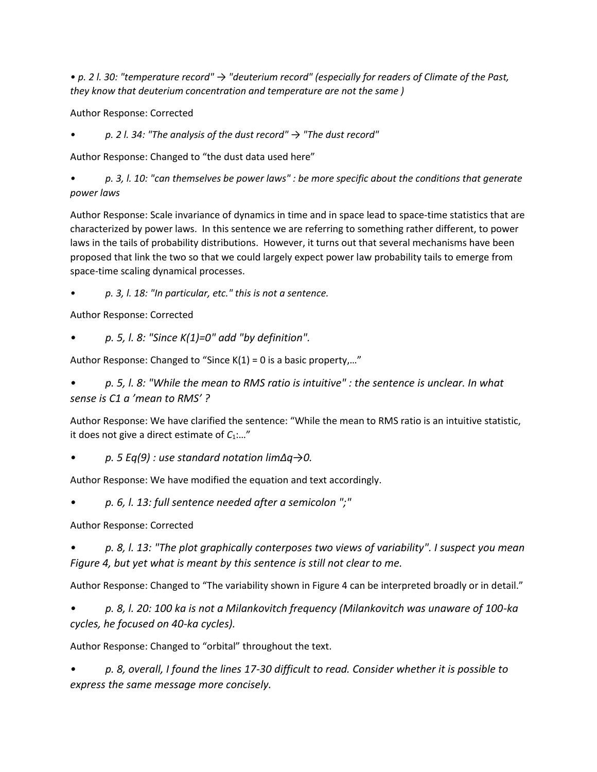*• p. 2 l. 30: "temperature record" → "deuterium record" (especially for readers of Climate of the Past, they know that deuterium concentration and temperature are not the same )*

Author Response: Corrected

*• p. 2 l. 34: "The analysis of the dust record" → "The dust record"*

Author Response: Changed to "the dust data used here"

*• p. 3, l. 10: "can themselves be power laws" : be more specific about the conditions that generate power laws*

Author Response: Scale invariance of dynamics in time and in space lead to space-time statistics that are characterized by power laws. In this sentence we are referring to something rather different, to power laws in the tails of probability distributions. However, it turns out that several mechanisms have been proposed that link the two so that we could largely expect power law probability tails to emerge from space-time scaling dynamical processes.

*• p. 3, l. 18: "In particular, etc." this is not a sentence.*

Author Response: Corrected

*• p. 5, l. 8: "Since K(1)=0" add "by definition".*

Author Response: Changed to "Since K(1) = 0 is a basic property,…"

*• p. 5, l. 8: "While the mean to RMS ratio is intuitive" : the sentence is unclear. In what sense is C1 a 'mean to RMS' ?*

Author Response: We have clarified the sentence: "While the mean to RMS ratio is an intuitive statistic, it does not give a direct estimate of *C*1:…"

*• p. 5 Eq(9) : use standard notation lim∆q→0.*

Author Response: We have modified the equation and text accordingly.

*• p. 6, l. 13: full sentence needed after a semicolon ";"*

Author Response: Corrected

*• p. 8, l. 13: "The plot graphically conterposes two views of variability". I suspect you mean Figure 4, but yet what is meant by this sentence is still not clear to me.*

Author Response: Changed to "The variability shown in Figure 4 can be interpreted broadly or in detail."

*• p. 8, l. 20: 100 ka is not a Milankovitch frequency (Milankovitch was unaware of 100-ka cycles, he focused on 40-ka cycles).*

Author Response: Changed to "orbital" throughout the text.

*• p. 8, overall, I found the lines 17-30 difficult to read. Consider whether it is possible to express the same message more concisely.*